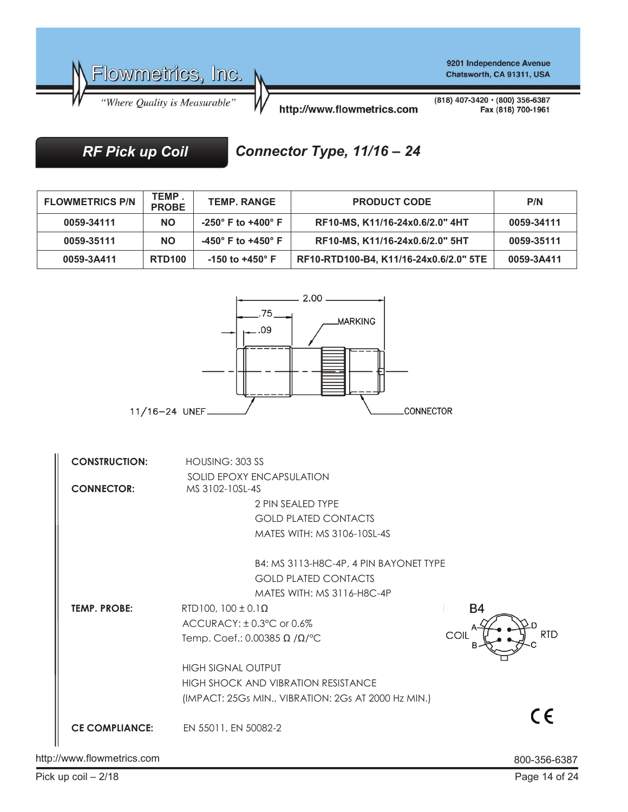

*RF Pick up Coil*

## *Connector Type, 11/16 – 24*

| <b>FLOWMETRICS P/N</b> | TEMP.<br><b>PROBE</b> | <b>TEMP. RANGE</b>         | <b>PRODUCT CODE</b>                    | P/N        |
|------------------------|-----------------------|----------------------------|----------------------------------------|------------|
| 0059-34111             | <b>NO</b>             | -250° F to +400° F         | RF10-MS, K11/16-24x0.6/2.0" 4HT        | 0059-34111 |
| 0059-35111             | <b>NO</b>             | -450° F to +450° F         | RF10-MS, K11/16-24x0.6/2.0" 5HT        | 0059-35111 |
| 0059-3A411             | <b>RTD100</b>         | $-150$ to $+450^{\circ}$ F | RF10-RTD100-B4, K11/16-24x0.6/2.0" 5TE | 0059-3A411 |



http://www.flowmetrics.com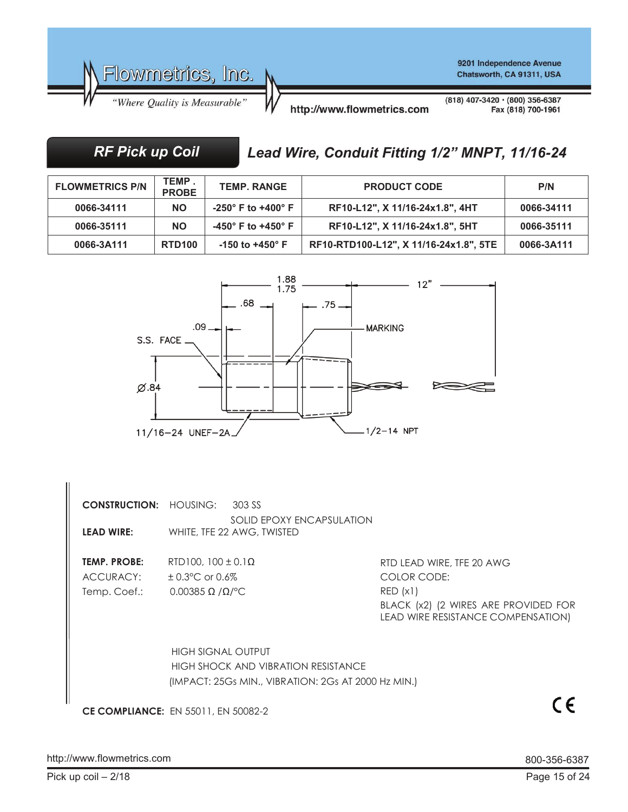

## *RF Pick up Coil*

# *Lead Wire, Conduit Fitting 1/2" MNPT, 11/16-24*

| <b>FLOWMETRICS P/N</b> | <b>TEMP</b><br><b>PROBE</b> | <b>TEMP. RANGE</b>                     | <b>PRODUCT CODE</b>                    | P/N        |
|------------------------|-----------------------------|----------------------------------------|----------------------------------------|------------|
| 0066-34111             | <b>NO</b>                   | -250 $^{\circ}$ F to +400 $^{\circ}$ F | RF10-L12", X 11/16-24x1.8", 4HT        | 0066-34111 |
| 0066-35111             | <b>NO</b>                   | -450° F to +450° F                     | RF10-L12", X 11/16-24x1.8", 5HT        | 0066-35111 |
| 0066-3A111             | <b>RTD100</b>               | $-150$ to $+450^{\circ}$ F             | RF10-RTD100-L12", X 11/16-24x1.8", 5TE | 0066-3A111 |



**CONSTRUCTION:** HOUSING: 303 SS SOLID EPOXY ENCAPSULATION **LEAD WIRE:** WHITE, TFE 22 AWG, TWISTED

**TEMP. PROBE:** RTD100, 100 ± 0.1Ω ACCURACY: ± 0.3°C or 0.6% Temp. Coef.: 0.00385 Ω /Ω/°C

RTD LEAD WIRE, TFE 20 AWG COLOR CODE: RED (x1) BLACK (x2) (2 WIRES ARE PROVIDED FOR LEAD WIRE RESISTANCE COMPENSATION)

 HIGH SIGNAL OUTPUT HIGH SHOCK AND VIBRATION RESISTANCE (IMPACT: 25Gs MIN., VIBRATION: 2Gs AT 2000 Hz MIN.)

**CE COMPLIANCE:** EN 55011, EN 50082-2

 $C \in$ 

http://www.flowmetrics.com